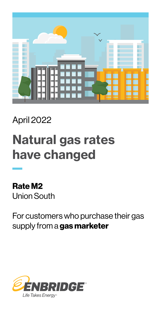

### April 2022

# Natural gas rates have changed

Rate M2 Union South

For customers who purchase their gas supply from a gas marketer

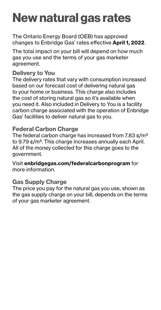## New natural gas rates

The Ontario Energy Board (OEB) has approved changes to Enbridge Gas' rates effective April 1, 2022.

The total impact on your bill will depend on how much gas you use and the terms of your gas marketer agreement.

#### Delivery to You

The delivery rates that vary with consumption increased based on our forecast cost of delivering natural gas to your home or business. This charge also includes the cost of storing natural gas so it's available when you need it. Also included in Delivery to You is a facility carbon charge associated with the operation of Enbridge Gas' facilities to deliver natural gas to you.

#### Federal Carbon Charge

The federal carbon charge has increased from 7.83  $\text{c/m}^3$ to 9.79 ¢/m<sup>3</sup>. This charge increases annually each April. All of the money collected for this charge goes to the government.

Visit [enbridgegas.com/federalcarbonprogram](http://enbridgegas.com/federalcarbonprogram) for more information.

#### Gas Supply Charge

The price you pay for the natural gas you use, shown as the gas supply charge on your bill, depends on the terms of your gas marketer agreement.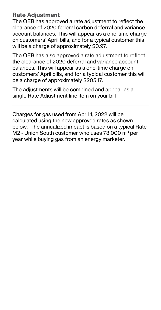#### Rate Adjustment

The OEB has approved a rate adjustment to reflect the clearance of 2020 federal carbon deferral and variance account balances. This will appear as a one-time charge on customers' April bills, and for a typical customer this will be a charge of approximately \$0.97.

The OEB has also approved a rate adjustment to reflect the clearance of 2020 deferral and variance account balances. This will appear as a one-time charge on customers' April bills, and for a typical customer this will be a charge of approximately \$205.17.

The adjustments will be combined and appear as a single Rate Adjustment line item on your bill

Charges for gas used from April 1, 2022 will be calculated using the new approved rates as shown below. The annualized impact is based on a typical Rate M2 - Union South customer who uses 73,000 m<sup>3</sup> per year while buying gas from an energy marketer.